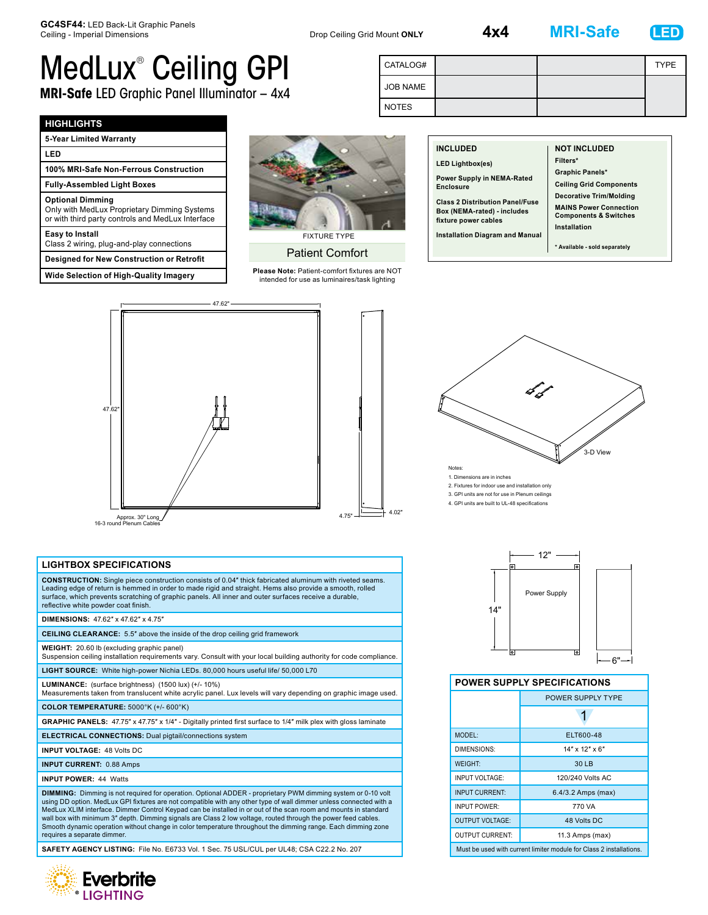**4x4 MRI-Safe LED**



## MedLux® Ceiling GPI **MRI-Safe** LED Graphic Panel Illuminator – 4x4

| CATALOG#        |  | <b>TYPE</b> |
|-----------------|--|-------------|
| <b>JOB NAME</b> |  |             |
| <b>NOTES</b>    |  |             |

### **HIGHLIGHTS**

| 5-Year Limited Warranty                                                                                                      |  |  |
|------------------------------------------------------------------------------------------------------------------------------|--|--|
| LED                                                                                                                          |  |  |
| 100% MRI-Safe Non-Ferrous Construction                                                                                       |  |  |
| <b>Fully-Assembled Light Boxes</b>                                                                                           |  |  |
| <b>Optional Dimming</b><br>Only with MedLux Proprietary Dimming Systems<br>or with third party controls and MedLux Interface |  |  |
| Easy to Install<br>Class 2 wiring, plug-and-play connections                                                                 |  |  |
| <b>Designed for New Construction or Retrofit</b>                                                                             |  |  |
| <b>Wide Selection of High-Quality Imagery</b>                                                                                |  |  |



### Patient Comfort

**Please Note:** Patient-comfort fixtures are NOT intended for use as luminaires/task lighting

| <b>INCLUDED</b><br><b>LED Lightbox(es)</b><br>Power Supply in NEMA-Rated<br>Enclosure<br><b>Class 2 Distribution Panel/Fuse</b> | <b>NOT INCLUDED</b><br>Filters*<br><b>Graphic Panels*</b><br><b>Ceiling Grid Components</b><br><b>Decorative Trim/Molding</b><br><b>MAINS Power Connection</b> |
|---------------------------------------------------------------------------------------------------------------------------------|----------------------------------------------------------------------------------------------------------------------------------------------------------------|
| Box (NEMA-rated) - includes<br>fixture power cables                                                                             | <b>Components &amp; Switches</b><br>Installation                                                                                                               |
| Installation Diagram and Manual                                                                                                 | * Available - sold separately                                                                                                                                  |



# 3-D View Notes:

1. Dimensions are in inches 2. Fixtures for indoor use and installation only 3. GPI units are not for use in Plenum ceilings 4. GPI units are built to UL-48 specifications



4.02"

### **LIGHTBOX SPECIFICATIONS**

**CONSTRUCTION:** Single piece construction consists of 0.04″ thick fabricated aluminum with riveted seams. Leading edge of return is hemmed in order to made rigid and straight. Hems also provide a smooth, rolled surface, which prevents scratching of graphic panels. All inner and outer surfaces receive a durable, reflective white powder coat finish.

#### **DIMENSIONS:** 47.62″ x 47.62″ x 4.75″

**CEILING CLEARANCE:** 5.5″ above the inside of the drop ceiling grid framework

**WEIGHT:** 20.60 lb (excluding graphic panel) Suspension ceiling installation requirements vary. Consult with your local building authority for code compliance.

**LIGHT SOURCE:** White high-power Nichia LEDs. 80,000 hours useful life/ 50,000 L70

**LUMINANCE:** (surface brightness) (1500 lux) (+/- 10%) Measurements taken from translucent white acrylic panel. Lux levels will vary depending on graphic image used.

**COLOR TEMPERATURE:** 5000°K (+/- 600°K)

**GRAPHIC PANELS:** 47.75″ x 47.75″ x 1/4″ - Digitally printed first surface to 1/4″ milk plex with gloss laminate

**ELECTRICAL CONNECTIONS:** Dual pigtail/connections system

**INPUT VOLTAGE:** 48 Volts DC

**INPUT CURRENT:** 0.88 Amps

**INPUT POWER:** 44 Watts

**DIMMING:** Dimming is not required for operation. Optional ADDER - proprietary PWM dimming system or 0-10 volt using DD option. MedLux GPI fixtures are not compatible with any other type of wall dimmer unless connected with a MedLux XLIM interface. Dimmer Control Keypad can be installed in or out of the scan room and mounts in standard wall box with minimum 3" depth. Dimming signals are Class 2 low voltage, routed through the power feed cables. Smooth dynamic operation without change in color temperature throughout the dimming range. Each dimming zone requires a separate dimmer.

**SAFETY AGENCY LISTING:** File No. E6733 Vol. 1 Sec. 75 USL/CUL per UL48; CSA C22.2 No. 207





### **POWER SUPPLY SPECIFICATIONS**

|                        | POWER SUPPLY TYPE                                                   |  |
|------------------------|---------------------------------------------------------------------|--|
|                        |                                                                     |  |
| MODEL:                 | ELT600-48                                                           |  |
| <b>DIMENSIONS:</b>     | $14"$ x $12"$ x 6"                                                  |  |
| <b>WEIGHT:</b>         | 30 LB                                                               |  |
| INPUT VOLTAGE:         | 120/240 Volts AC                                                    |  |
| <b>INPUT CURRENT:</b>  | 6.4/3.2 Amps (max)                                                  |  |
| <b>INPUT POWER:</b>    | 770 VA                                                              |  |
| <b>OUTPUT VOLTAGE:</b> | 48 Volts DC                                                         |  |
| <b>OUTPUT CURRENT:</b> | 11.3 Amps (max)                                                     |  |
|                        | Must be used with current limiter module for Class 2 installations. |  |